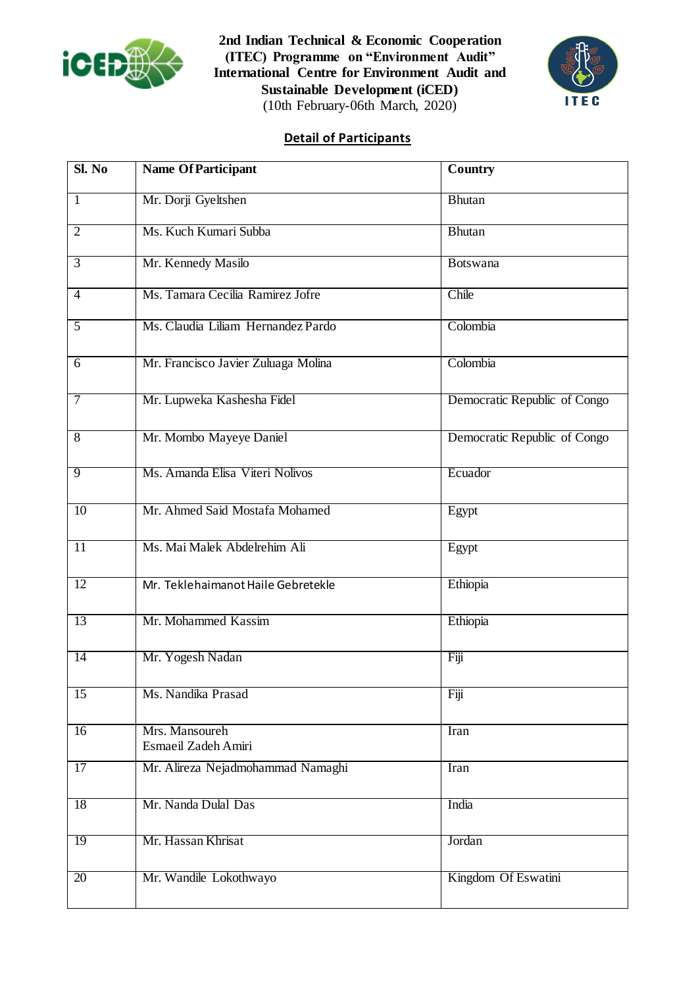

**2nd Indian Technical & Economic Cooperation (ITEC) Programme on "Environment Audit" International Centre for Environment Audit and Sustainable Development (iCED)** (10th February-06th March, 2020)



## **Detail of Participants**

| Sl. No          | <b>Name Of Participant</b>            | <b>Country</b>               |
|-----------------|---------------------------------------|------------------------------|
| $\mathbf{1}$    | Mr. Dorji Gyeltshen                   | <b>Bhutan</b>                |
| $\overline{2}$  | Ms. Kuch Kumari Subba                 | Bhutan                       |
| $\overline{3}$  | Mr. Kennedy Masilo                    | <b>Botswana</b>              |
| $\overline{4}$  | Ms. Tamara Cecilia Ramirez Jofre      | Chile                        |
| $\overline{5}$  | Ms. Claudia Liliam Hernandez Pardo    | Colombia                     |
| 6               | Mr. Francisco Javier Zuluaga Molina   | Colombia                     |
| $\overline{7}$  | Mr. Lupweka Kashesha Fidel            | Democratic Republic of Congo |
| $\overline{8}$  | Mr. Mombo Mayeye Daniel               | Democratic Republic of Congo |
| 9               | Ms. Amanda Elisa Viteri Nolivos       | Ecuador                      |
| $\overline{10}$ | Mr. Ahmed Said Mostafa Mohamed        | Egypt                        |
| $\overline{11}$ | Ms. Mai Malek Abdelrehim Ali          | Egypt                        |
| $\overline{12}$ | Mr. Teklehaimanot Haile Gebretekle    | Ethiopia                     |
| 13              | Mr. Mohammed Kassim                   | Ethiopia                     |
| $\overline{14}$ | Mr. Yogesh Nadan                      | Fiji                         |
| $\overline{15}$ | Ms. Nandika Prasad                    | Fiji                         |
| 16              | Mrs. Mansoureh<br>Esmaeil Zadeh Amiri | Iran                         |
| $\overline{17}$ | Mr. Alireza Nejadmohammad Namaghi     | Iran                         |
| $\overline{18}$ | Mr. Nanda Dulal Das                   | India                        |
| 19              | Mr. Hassan Khrisat                    | Jordan                       |
| 20              | Mr. Wandile Lokothwayo                | Kingdom Of Eswatini          |